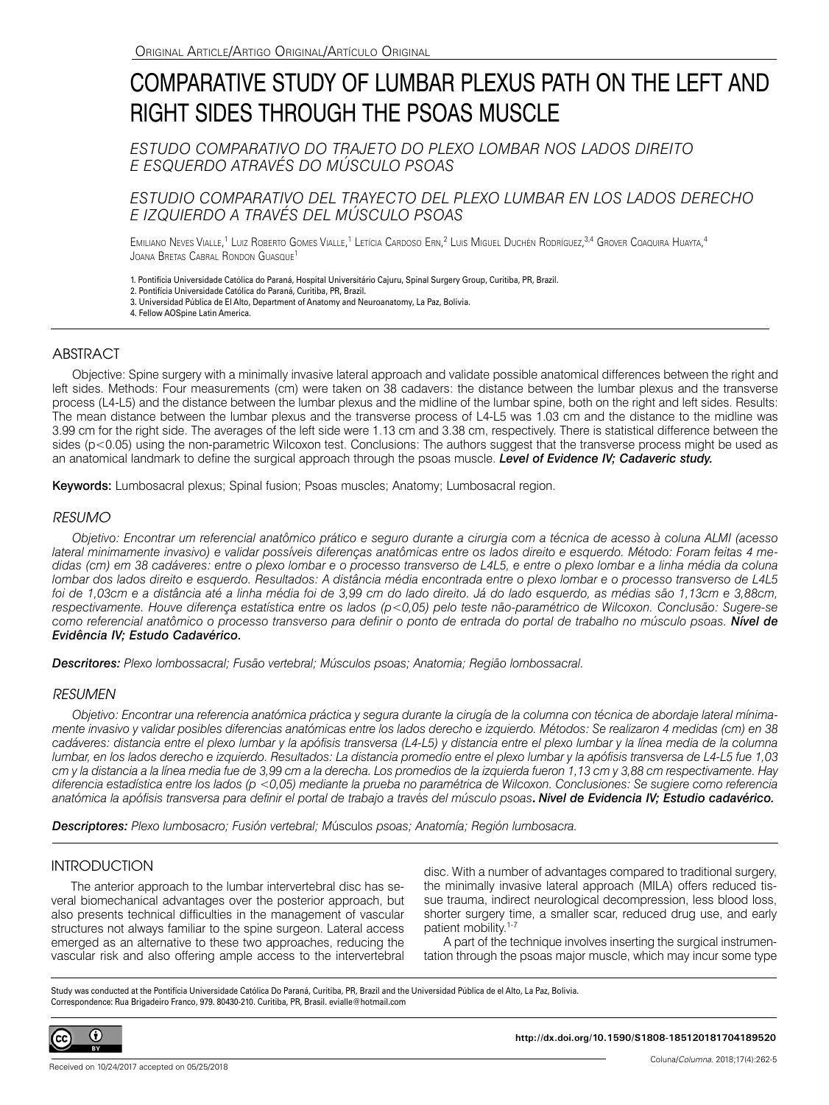# COMPARATIVE STUDY OF LUMBAR PLEXUS PATH ON THE LEFT AND RIGHT SIDES THROUGH THE PSOAS MUSCLE

*ESTUDO COMPARATIVO DO TRAJETO DO PLEXO LOMBAR NOS LADOS DIREITO E ESQUERDO ATRAVÉS DO MÚSCULO PSOAS*

## *ESTUDIO COMPARATIVO DEL TRAYECTO DEL PLEXO LUMBAR EN LOS LADOS DERECHO E IZQUIERDO A TRAVÉS DEL MÚSCULO PSOAS*

Emiliano Neves Vialle,<sup>1</sup> Luiz Roberto Gomes Vialle,<sup>1</sup> Letícia Cardoso Ern,<sup>2</sup> Luis Miguel Duchén Rodríguez,<sup>3,4</sup> Grover Coaquira Huayta,<sup>4</sup> Joana Bretas Cabral Rondon Guasque<sup>1</sup>

1. Pontifícia Universidade Católica do Paraná, Hospital Universitário Cajuru, Spinal Surgery Group, Curitiba, PR, Brazil.

2. Pontifícia Universidade Católica do Paraná, Curitiba, PR, Brazil.

3. Universidad Pública de El Alto, Department of Anatomy and Neuroanatomy, La Paz, Bolivia.

4. Fellow AOSpine Latin America.

## ABSTRACT

Objective: Spine surgery with a minimally invasive lateral approach and validate possible anatomical differences between the right and left sides. Methods: Four measurements (cm) were taken on 38 cadavers: the distance between the lumbar plexus and the transverse process (L4-L5) and the distance between the lumbar plexus and the midline of the lumbar spine, both on the right and left sides. Results: The mean distance between the lumbar plexus and the transverse process of L4-L5 was 1.03 cm and the distance to the midline was 3.99 cm for the right side. The averages of the left side were 1.13 cm and 3.38 cm, respectively. There is statistical difference between the sides (p<0.05) using the non-parametric Wilcoxon test. Conclusions: The authors suggest that the transverse process might be used as an anatomical landmark to define the surgical approach through the psoas muscle. *Level of Evidence IV; Cadaveric study.* 

Keywords: Lumbosacral plexus; Spinal fusion; Psoas muscles; Anatomy; Lumbosacral region.

### *RESUMO*

*Objetivo: Encontrar um referencial anatômico prático e seguro durante a cirurgia com a técnica de acesso à coluna ALMI (acesso lateral minimamente invasivo) e validar possíveis diferenças anatômicas entre os lados direito e esquerdo. Método: Foram feitas 4 medidas (cm) em 38 cadáveres: entre o plexo lombar e o processo transverso de L4L5, e entre o plexo lombar e a linha média da coluna lombar dos lados direito e esquerdo. Resultados: A distância média encontrada entre o plexo lombar e o processo transverso de L4L5 foi de 1,03cm e a distância até a linha média foi de 3,99 cm do lado direito. Já do lado esquerdo, as médias são 1,13cm e 3,88cm, respectivamente. Houve diferença estatística entre os lados (p<0,05) pelo teste não-paramétrico de Wilcoxon. Conclusão: Sugere-se como referencial anatômico o processo transverso para definir o ponto de entrada do portal de trabalho no músculo psoas. Nível de Evidência IV; Estudo Cadavérico.*

*Descritores: Plexo lombossacral; Fusão vertebral; Músculos psoas; Anatomia; Região lombossacral.*

### *RESUMEN*

*Objetivo: Encontrar una referencia anatómica práctica y segura durante la cirugía de la columna con técnica de abordaje lateral mínimamente invasivo y validar posibles diferencias anatómicas entre los lados derecho e izquierdo. Métodos: Se realizaron 4 medidas (cm) en 38 cadáveres: distancia entre el plexo lumbar y la apófisis transversa (L4-L5) y distancia entre el plexo lumbar y la línea media de la columna lumbar, en los lados derecho e izquierdo. Resultados: La distancia promedio entre el plexo lumbar y la apófisis transversa de L4-L5 fue 1,03 cm y la distancia a la línea media fue de 3,99 cm a la derecha. Los promedios de la izquierda fueron 1,13 cm y 3,88 cm respectivamente. Hay diferencia estadística entre los lados (p <0,05) mediante la prueba no paramétrica de Wilcoxon. Conclusiones: Se sugiere como referencia anatómica la apófisis transversa para definir el portal de trabajo a trav*é*s del músculo psoas***.** *Nivel de Evidencia IV; Estudio cadavérico.*

*Descriptores: Plexo lumbosacro; Fusión vertebral; M*úsculo*s psoas; Anatomía; Región lumbosacra.*

## INTRODUCTION

The anterior approach to the lumbar intervertebral disc has several biomechanical advantages over the posterior approach, but also presents technical difficulties in the management of vascular structures not always familiar to the spine surgeon. Lateral access emerged as an alternative to these two approaches, reducing the vascular risk and also offering ample access to the intervertebral disc. With a number of advantages compared to traditional surgery, the minimally invasive lateral approach (MILA) offers reduced tissue trauma, indirect neurological decompression, less blood loss, shorter surgery time, a smaller scar, reduced drug use, and early patient mobility.<sup>1-7</sup>

A part of the technique involves inserting the surgical instrumentation through the psoas major muscle, which may incur some type

Study was conducted at the Pontifícia Universidade Católica Do Paraná, Curitiba, PR, Brazil and the Universidad Pública de el Alto, La Paz, Bolivia. Correspondence: Rua Brigadeiro Franco, 979. 80430-210. Curitiba, PR, Brasil. evialle@hotmail.com

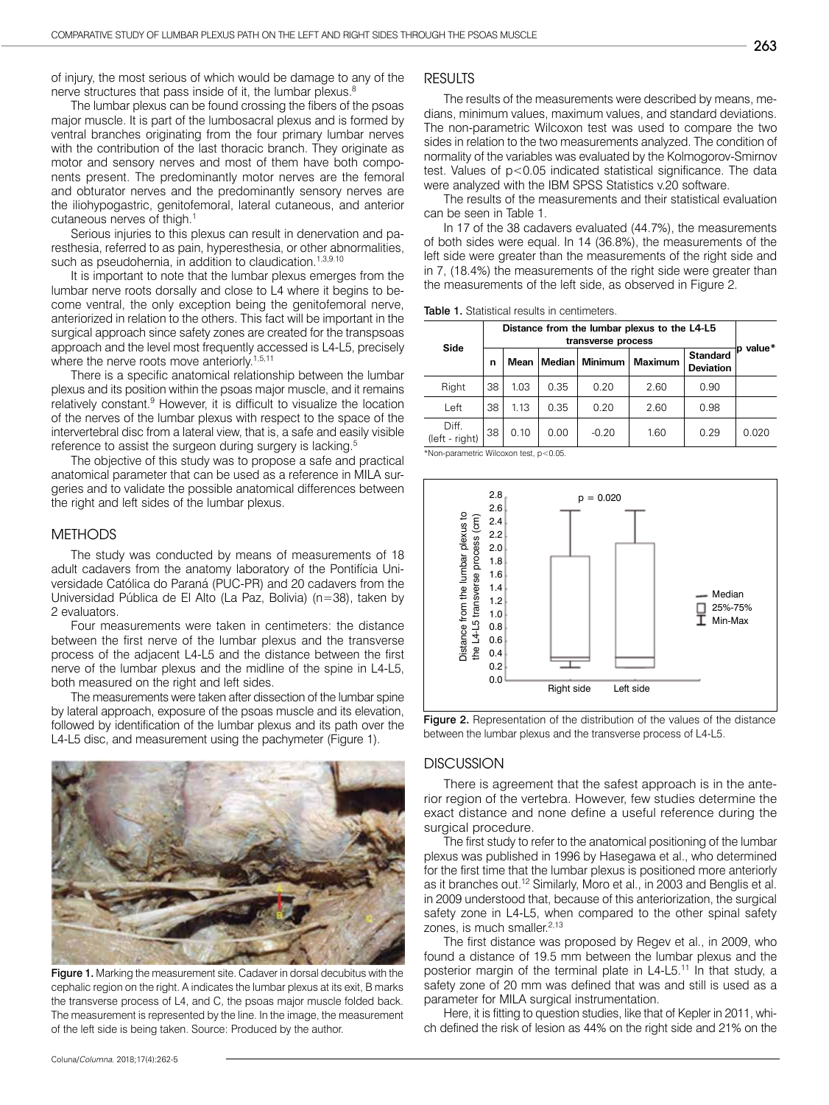of injury, the most serious of which would be damage to any of the nerve structures that pass inside of it, the lumbar plexus.<sup>8</sup>

The lumbar plexus can be found crossing the fibers of the psoas major muscle. It is part of the lumbosacral plexus and is formed by ventral branches originating from the four primary lumbar nerves with the contribution of the last thoracic branch. They originate as motor and sensory nerves and most of them have both components present. The predominantly motor nerves are the femoral and obturator nerves and the predominantly sensory nerves are the iliohypogastric, genitofemoral, lateral cutaneous, and anterior cutaneous nerves of thigh.<sup>1</sup>

Serious injuries to this plexus can result in denervation and paresthesia, referred to as pain, hyperesthesia, or other abnormalities, such as pseudohernia, in addition to claudication.<sup>1,3,9.10</sup>

It is important to note that the lumbar plexus emerges from the lumbar nerve roots dorsally and close to L4 where it begins to become ventral, the only exception being the genitofemoral nerve, anteriorized in relation to the others. This fact will be important in the surgical approach since safety zones are created for the transpsoas approach and the level most frequently accessed is L4-L5, precisely where the nerve roots move anteriorly.<sup>1,5,11</sup>

There is a specific anatomical relationship between the lumbar plexus and its position within the psoas major muscle, and it remains relatively constant.<sup>9</sup> However, it is difficult to visualize the location of the nerves of the lumbar plexus with respect to the space of the intervertebral disc from a lateral view, that is, a safe and easily visible reference to assist the surgeon during surgery is lacking.<sup>5</sup>

The objective of this study was to propose a safe and practical anatomical parameter that can be used as a reference in MILA surgeries and to validate the possible anatomical differences between the right and left sides of the lumbar plexus.

### METHODS

The study was conducted by means of measurements of 18 adult cadavers from the anatomy laboratory of the Pontifícia Universidade Católica do Paraná (PUC-PR) and 20 cadavers from the Universidad Pública de El Alto (La Paz, Bolivia) (n=38), taken by 2 evaluators.

Four measurements were taken in centimeters: the distance between the first nerve of the lumbar plexus and the transverse process of the adjacent L4-L5 and the distance between the first nerve of the lumbar plexus and the midline of the spine in L4-L5, both measured on the right and left sides.

The measurements were taken after dissection of the lumbar spine by lateral approach, exposure of the psoas muscle and its elevation, followed by identification of the lumbar plexus and its path over the L4-L5 disc, and measurement using the pachymeter (Figure 1).



Figure 1. Marking the measurement site. Cadaver in dorsal decubitus with the cephalic region on the right. A indicates the lumbar plexus at its exit, B marks the transverse process of L4, and C, the psoas major muscle folded back. The measurement is represented by the line. In the image, the measurement of the left side is being taken. Source: Produced by the author.

## RESULTS

The results of the measurements were described by means, medians, minimum values, maximum values, and standard deviations. The non-parametric Wilcoxon test was used to compare the two sides in relation to the two measurements analyzed. The condition of normality of the variables was evaluated by the Kolmogorov-Smirnov test. Values of p<0.05 indicated statistical significance. The data were analyzed with the IBM SPSS Statistics v.20 software.

The results of the measurements and their statistical evaluation can be seen in Table 1.

In 17 of the 38 cadavers evaluated (44.7%), the measurements of both sides were equal. In 14 (36.8%), the measurements of the left side were greater than the measurements of the right side and in 7, (18.4%) the measurements of the right side were greater than the measurements of the left side, as observed in Figure 2.

| Side                      | Distance from the lumbar plexus to the L4-L5<br>transverse process |      |      |                  |                |                                     |          |
|---------------------------|--------------------------------------------------------------------|------|------|------------------|----------------|-------------------------------------|----------|
|                           | n                                                                  | Mean |      | Median   Minimum | <b>Maximum</b> | <b>Standard</b><br><b>Deviation</b> | p value* |
| Right                     | 38                                                                 | 1.03 | 0.35 | 0.20             | 2.60           | 0.90                                |          |
| Left                      | 38                                                                 | 1.13 | 0.35 | 0.20             | 2.60           | 0.98                                |          |
| Diff.<br>$(left - right)$ | 38                                                                 | 0.10 | 0.00 | $-0.20$          | 1.60           | 0.29                                | 0.020    |

\*Non-parametric Wilcoxon test, p<0.05.



Figure 2. Representation of the distribution of the values of the distance between the lumbar plexus and the transverse process of L4-L5.

#### **DISCUSSION**

There is agreement that the safest approach is in the anterior region of the vertebra. However, few studies determine the exact distance and none define a useful reference during the surgical procedure.

The first study to refer to the anatomical positioning of the lumbar plexus was published in 1996 by Hasegawa et al., who determined for the first time that the lumbar plexus is positioned more anteriorly as it branches out.12 Similarly, Moro et al., in 2003 and Benglis et al. in 2009 understood that, because of this anteriorization, the surgical safety zone in L4-L5, when compared to the other spinal safety zones, is much smaller.<sup>2,13</sup>

The first distance was proposed by Regev et al., in 2009, who found a distance of 19.5 mm between the lumbar plexus and the posterior margin of the terminal plate in L4-L5.<sup>11</sup> In that study, a safety zone of 20 mm was defined that was and still is used as a parameter for MILA surgical instrumentation.

Here, it is fitting to question studies, like that of Kepler in 2011, which defined the risk of lesion as 44% on the right side and 21% on the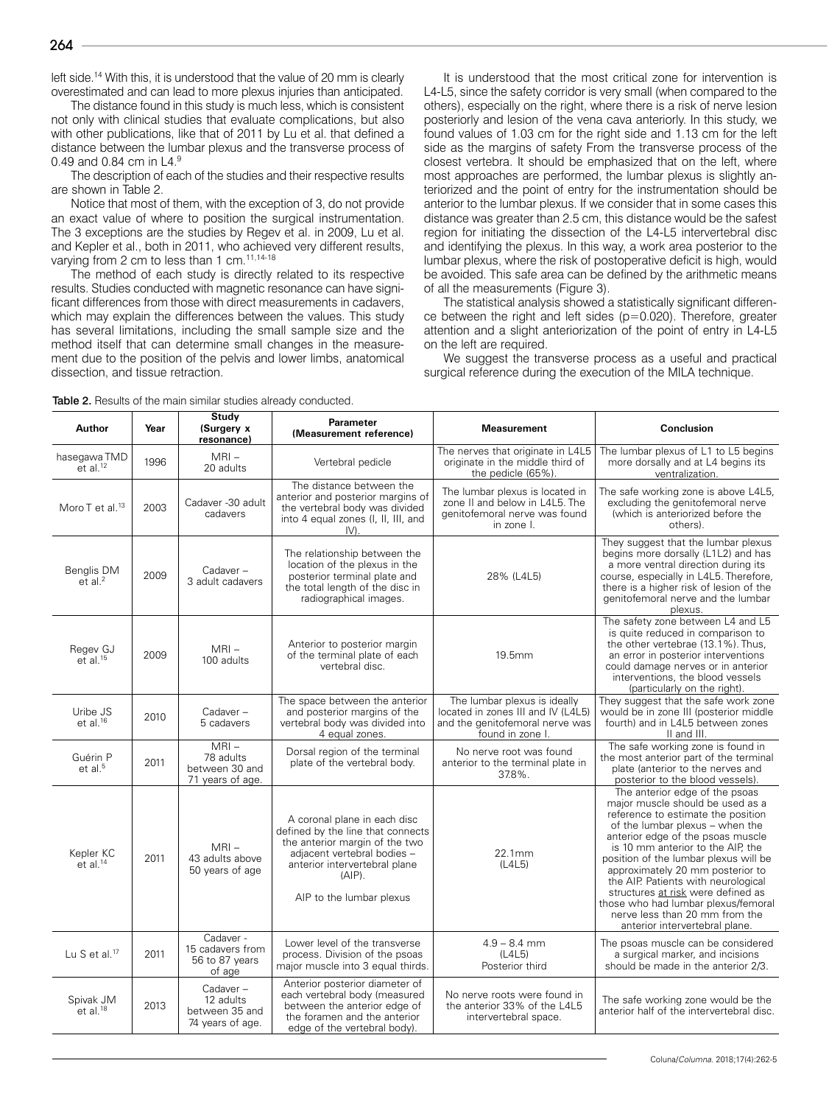left side.<sup>14</sup> With this, it is understood that the value of 20 mm is clearly overestimated and can lead to more plexus injuries than anticipated.

The distance found in this study is much less, which is consistent not only with clinical studies that evaluate complications, but also with other publications, like that of 2011 by Lu et al. that defined a distance between the lumbar plexus and the transverse process of 0.49 and 0.84 cm in L4.<sup>9</sup>

The description of each of the studies and their respective results are shown in Table 2.

Notice that most of them, with the exception of 3, do not provide an exact value of where to position the surgical instrumentation. The 3 exceptions are the studies by Regev et al. in 2009, Lu et al. and Kepler et al., both in 2011, who achieved very different results, varying from 2 cm to less than 1 cm.<sup>11,14-18</sup>

The method of each study is directly related to its respective results. Studies conducted with magnetic resonance can have significant differences from those with direct measurements in cadavers, which may explain the differences between the values. This study has several limitations, including the small sample size and the method itself that can determine small changes in the measurement due to the position of the pelvis and lower limbs, anatomical dissection, and tissue retraction.

<del>Study</del>

It is understood that the most critical zone for intervention is L4-L5, since the safety corridor is very small (when compared to the others), especially on the right, where there is a risk of nerve lesion posteriorly and lesion of the vena cava anteriorly. In this study, we found values of 1.03 cm for the right side and 1.13 cm for the left side as the margins of safety From the transverse process of the closest vertebra. It should be emphasized that on the left, where most approaches are performed, the lumbar plexus is slightly anteriorized and the point of entry for the instrumentation should be anterior to the lumbar plexus. If we consider that in some cases this distance was greater than 2.5 cm, this distance would be the safest region for initiating the dissection of the L4-L5 intervertebral disc and identifying the plexus. In this way, a work area posterior to the lumbar plexus, where the risk of postoperative deficit is high, would be avoided. This safe area can be defined by the arithmetic means of all the measurements (Figure 3).

The statistical analysis showed a statistically significant difference between the right and left sides (p=0.020). Therefore, greater attention and a slight anteriorization of the point of entry in L4-L5 on the left are required.

We suggest the transverse process as a useful and practical surgical reference during the execution of the MILA technique.

| Author                                     | Year | otuuy<br>(Surgery x<br>resonance)                           | Parameter<br>(Measurement reference)                                                                                                                                                                         | <b>Measurement</b>                                                                                                       | Conclusion                                                                                                                                                                                                                                                                                                                                                                                                                                                                                 |
|--------------------------------------------|------|-------------------------------------------------------------|--------------------------------------------------------------------------------------------------------------------------------------------------------------------------------------------------------------|--------------------------------------------------------------------------------------------------------------------------|--------------------------------------------------------------------------------------------------------------------------------------------------------------------------------------------------------------------------------------------------------------------------------------------------------------------------------------------------------------------------------------------------------------------------------------------------------------------------------------------|
| hasegawa TMD<br>$et$ al. <sup>12</sup>     | 1996 | $MRI -$<br>20 adults                                        | Vertebral pedicle                                                                                                                                                                                            | The nerves that originate in L4L5<br>originate in the middle third of<br>the pedicle (65%).                              | The lumbar plexus of L1 to L5 begins<br>more dorsally and at L4 begins its<br>ventralization.                                                                                                                                                                                                                                                                                                                                                                                              |
| Moro T et al. <sup>13</sup>                | 2003 | Cadaver -30 adult<br>cadavers                               | The distance between the<br>anterior and posterior margins of<br>the vertebral body was divided<br>into 4 equal zones (I, II, III, and<br>$IV$ ).                                                            | The lumbar plexus is located in<br>zone II and below in L4L5. The<br>genitofemoral nerve was found<br>in zone I.         | The safe working zone is above L4L5,<br>excluding the genitofemoral nerve<br>(which is anteriorized before the<br>others).                                                                                                                                                                                                                                                                                                                                                                 |
| Benglis DM<br>$e\bar{t}$ al. <sup>2</sup>  | 2009 | Cadaver-<br>3 adult cadavers                                | The relationship between the<br>location of the plexus in the<br>posterior terminal plate and<br>the total length of the disc in<br>radiographical images.                                                   | 28% (L4L5)                                                                                                               | They suggest that the lumbar plexus<br>begins more dorsally (L1L2) and has<br>a more ventral direction during its<br>course, especially in L4L5. Therefore,<br>there is a higher risk of lesion of the<br>genitofemoral nerve and the lumbar<br>plexus.                                                                                                                                                                                                                                    |
| Regev GJ<br>$e\check{t}$ al. <sup>15</sup> | 2009 | $MRI -$<br>100 adults                                       | Anterior to posterior margin<br>of the terminal plate of each<br>vertebral disc.                                                                                                                             | 19.5mm                                                                                                                   | The safety zone between L4 and L5<br>is quite reduced in comparison to<br>the other vertebrae (13.1%). Thus,<br>an error in posterior interventions<br>could damage nerves or in anterior<br>interventions, the blood vessels<br>(particularly on the right).                                                                                                                                                                                                                              |
| Uribe JS<br>$et$ al. $16$                  | 2010 | Cadaver-<br>5 cadavers                                      | The space between the anterior<br>and posterior margins of the<br>vertebral body was divided into<br>4 equal zones.                                                                                          | The lumbar plexus is ideally<br>located in zones III and IV (L4L5)<br>and the genitofemoral nerve was<br>found in zone I | They suggest that the safe work zone<br>would be in zone III (posterior middle<br>fourth) and in L4L5 between zones<br>II and III.                                                                                                                                                                                                                                                                                                                                                         |
| Guérin P<br>et al. <sup>5</sup>            | 2011 | $MRI -$<br>78 adults<br>between 30 and<br>71 years of age.  | Dorsal region of the terminal<br>plate of the vertebral body.                                                                                                                                                | No nerve root was found<br>anterior to the terminal plate in<br>37.8%.                                                   | The safe working zone is found in<br>the most anterior part of the terminal<br>plate (anterior to the nerves and<br>posterior to the blood vessels).                                                                                                                                                                                                                                                                                                                                       |
| Kepler KC<br>$et$ al. <sup>14</sup>        | 2011 | $MRI -$<br>43 adults above<br>50 years of age               | A coronal plane in each disc<br>defined by the line that connects<br>the anterior margin of the two<br>adjacent vertebral bodies -<br>anterior intervertebral plane<br>$(AIP)$ .<br>AIP to the lumbar plexus | 22.1mm<br>(L4L5)                                                                                                         | The anterior edge of the psoas<br>major muscle should be used as a<br>reference to estimate the position<br>of the lumbar plexus - when the<br>anterior edge of the psoas muscle<br>is 10 mm anterior to the AIP, the<br>position of the lumbar plexus will be<br>approximately 20 mm posterior to<br>the AIP. Patients with neurological<br>structures at risk were defined as<br>those who had lumbar plexus/femoral<br>nerve less than 20 mm from the<br>anterior intervertebral plane. |
| Lu S et al. $17$                           | 2011 | Cadaver -<br>15 cadavers from<br>56 to 87 years<br>of age   | Lower level of the transverse<br>process. Division of the psoas<br>major muscle into 3 equal thirds.                                                                                                         | $4.9 - 8.4$ mm<br>(L4L5)<br>Posterior third                                                                              | The psoas muscle can be considered<br>a surgical marker, and incisions<br>should be made in the anterior 2/3.                                                                                                                                                                                                                                                                                                                                                                              |
| Spivak JM<br>$et$ al. <sup>18</sup>        | 2013 | Cadaver-<br>12 adults<br>between 35 and<br>74 years of age. | Anterior posterior diameter of<br>each vertebral body (measured<br>between the anterior edge of<br>the foramen and the anterior<br>edge of the vertebral body).                                              | No nerve roots were found in<br>the anterior 33% of the L4L5<br>intervertebral space.                                    | The safe working zone would be the<br>anterior half of the intervertebral disc.                                                                                                                                                                                                                                                                                                                                                                                                            |

Table 2. Results of the main similar studies already conducted.